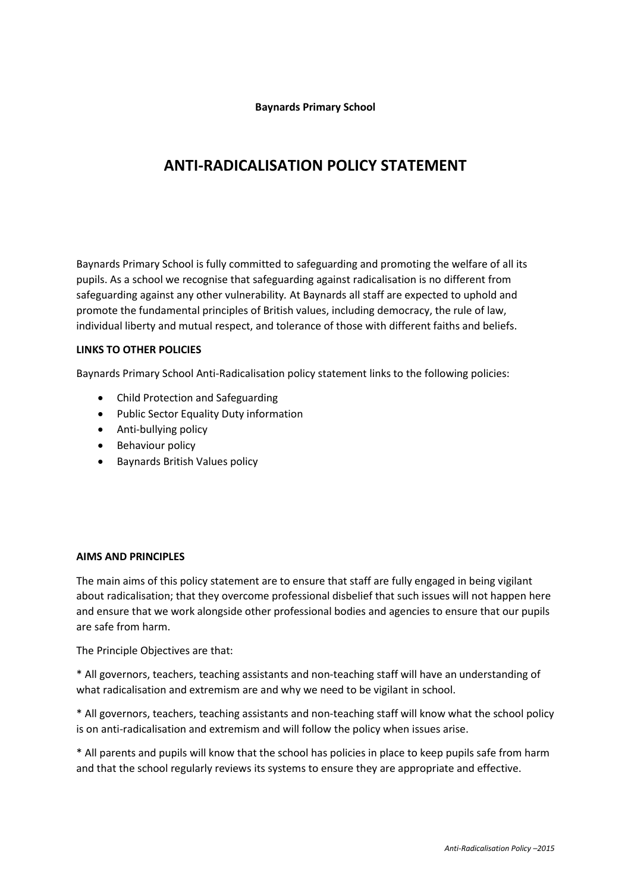**Baynards Primary School**

# **ANTI-RADICALISATION POLICY STATEMENT**

Baynards Primary School is fully committed to safeguarding and promoting the welfare of all its pupils. As a school we recognise that safeguarding against radicalisation is no different from safeguarding against any other vulnerability*.* At Baynards all staff are expected to uphold and promote the fundamental principles of British values, including democracy, the rule of law, individual liberty and mutual respect, and tolerance of those with different faiths and beliefs.

# **LINKS TO OTHER POLICIES**

Baynards Primary School Anti-Radicalisation policy statement links to the following policies:

- Child Protection and Safeguarding
- Public Sector Equality Duty information
- Anti-bullying policy
- Behaviour policy
- **•** Baynards British Values policy

# **AIMS AND PRINCIPLES**

The main aims of this policy statement are to ensure that staff are fully engaged in being vigilant about radicalisation; that they overcome professional disbelief that such issues will not happen here and ensure that we work alongside other professional bodies and agencies to ensure that our pupils are safe from harm.

The Principle Objectives are that:

\* All governors, teachers, teaching assistants and non-teaching staff will have an understanding of what radicalisation and extremism are and why we need to be vigilant in school.

\* All governors, teachers, teaching assistants and non-teaching staff will know what the school policy is on anti-radicalisation and extremism and will follow the policy when issues arise.

\* All parents and pupils will know that the school has policies in place to keep pupils safe from harm and that the school regularly reviews its systems to ensure they are appropriate and effective.